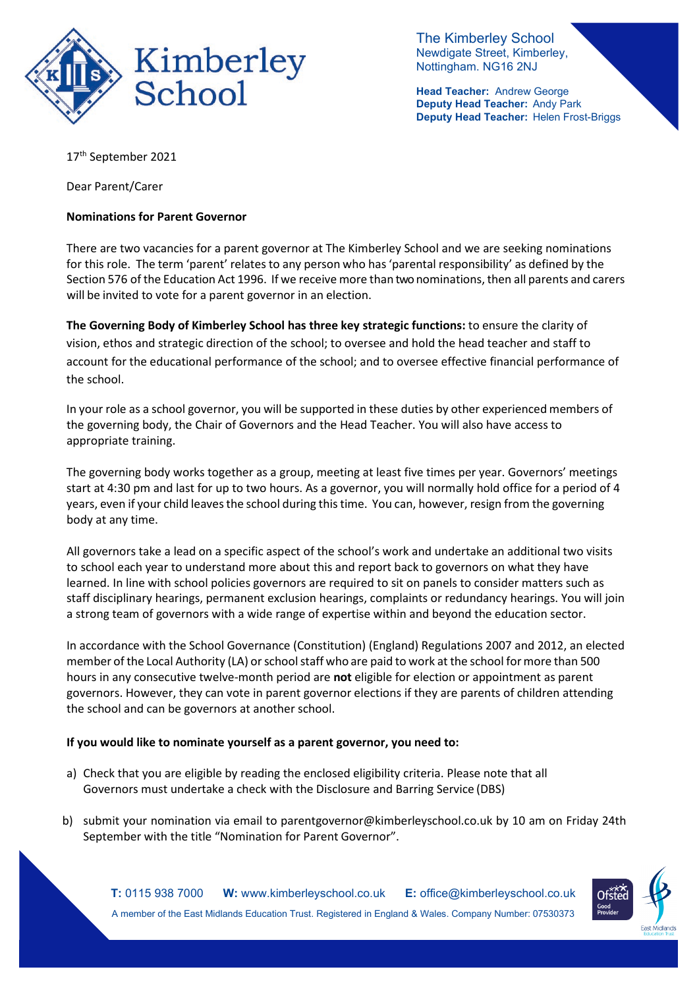

The Kimberley School Newdigate Street, Kimberley, Nottingham. NG16 2NJ

**Head Teacher:** Andrew George **Deputy Head Teacher:** Andy Park **Deputy Head Teacher:** Helen Frost-Briggs

17th September 2021

Dear Parent/Carer

## **Nominations for Parent Governor**

There are two vacancies for a parent governor at The Kimberley School and we are seeking nominations for this role. The term 'parent' relates to any person who has'parental responsibility' as defined by the Section 576 of the Education Act 1996. If we receive more than two nominations, then all parents and carers will be invited to vote for a parent governor in an election.

**The Governing Body of Kimberley School has three key strategic functions:** to ensure the clarity of vision, ethos and strategic direction of the school; to oversee and hold the head teacher and staff to account for the educational performance of the school; and to oversee effective financial performance of the school.

In your role as a school governor, you will be supported in these duties by other experienced members of the governing body, the Chair of Governors and the Head Teacher. You will also have access to appropriate training.

The governing body works together as a group, meeting at least five times per year. Governors' meetings start at 4:30 pm and last for up to two hours. As a governor, you will normally hold office for a period of 4 years, even if your child leaves the school during this time. You can, however, resign from the governing body at any time.

All governors take a lead on a specific aspect of the school's work and undertake an additional two visits to school each year to understand more about this and report back to governors on what they have learned. In line with school policies governors are required to sit on panels to consider matters such as staff disciplinary hearings, permanent exclusion hearings, complaints or redundancy hearings. You will join a strong team of governors with a wide range of expertise within and beyond the education sector.

In accordance with the School Governance (Constitution) (England) Regulations 2007 and 2012, an elected member of the Local Authority (LA) or school staff who are paid to work at the school for more than 500 hours in any consecutive twelve-month period are **not** eligible for election or appointment as parent governors. However, they can vote in parent governor elections if they are parents of children attending the school and can be governors at another school.

## **If you would like to nominate yourself as a parent governor, you need to:**

- a) Check that you are eligible by reading the enclosed eligibility criteria. Please note that all Governors must undertake a check with the Disclosure and Barring Service (DBS)
- b) submit your nomination via email to [parentgovernor@kimberleyschool.co.uk b](mailto:parentgovernor@kimberleyschool.co.uk)y 10 am on Friday 24th September with the title "Nomination for Parent Governor".